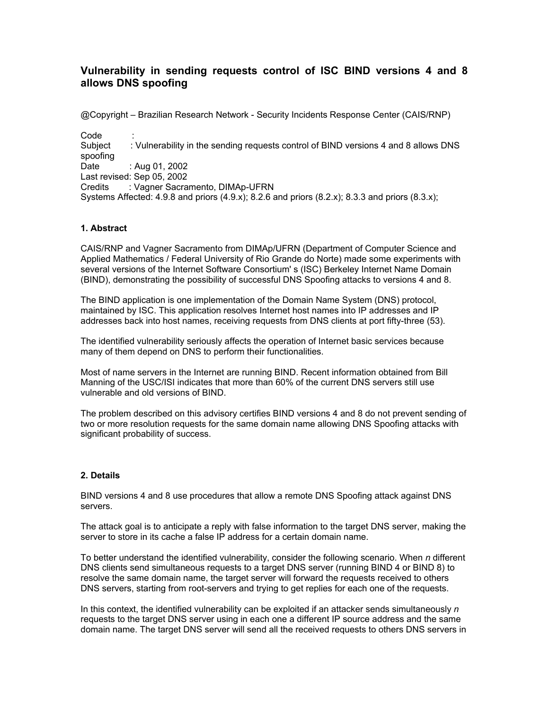# **Vulnerability in sending requests control of ISC BIND versions 4 and 8 allows DNS spoofing**

@Copyright – Brazilian Research Network - Security Incidents Response Center (CAIS/RNP)

Code : Subject : Vulnerability in the sending requests control of BIND versions 4 and 8 allows DNS spoofing Date : Aug 01, 2002 Last revised: Sep 05, 2002 Credits : Vagner Sacramento, DIMAp-UFRN Systems Affected:  $4.9.8$  and priors  $(4.9.x)$ ;  $8.2.6$  and priors  $(8.2.x)$ ;  $8.3.3$  and priors  $(8.3.x)$ ;

## **1. Abstract**

CAIS/RNP and Vagner Sacramento from DIMAp/UFRN (Department of Computer Science and Applied Mathematics / Federal University of Rio Grande do Norte) made some experiments with several versions of the Internet Software Consortium' s (ISC) Berkeley Internet Name Domain (BIND), demonstrating the possibility of successful DNS Spoofing attacks to versions 4 and 8.

The BIND application is one implementation of the Domain Name System (DNS) protocol, maintained by ISC. This application resolves Internet host names into IP addresses and IP addresses back into host names, receiving requests from DNS clients at port fifty-three (53).

The identified vulnerability seriously affects the operation of Internet basic services because many of them depend on DNS to perform their functionalities.

Most of name servers in the Internet are running BIND. Recent information obtained from Bill Manning of the USC/ISI indicates that more than 60% of the current DNS servers still use vulnerable and old versions of BIND.

The problem described on this advisory certifies BIND versions 4 and 8 do not prevent sending of two or more resolution requests for the same domain name allowing DNS Spoofing attacks with significant probability of success.

## **2. Details**

BIND versions 4 and 8 use procedures that allow a remote DNS Spoofing attack against DNS servers.

The attack goal is to anticipate a reply with false information to the target DNS server, making the server to store in its cache a false IP address for a certain domain name.

To better understand the identified vulnerability, consider the following scenario. When *n* different DNS clients send simultaneous requests to a target DNS server (running BIND 4 or BIND 8) to resolve the same domain name, the target server will forward the requests received to others DNS servers, starting from root-servers and trying to get replies for each one of the requests.

In this context, the identified vulnerability can be exploited if an attacker sends simultaneously *n* requests to the target DNS server using in each one a different IP source address and the same domain name. The target DNS server will send all the received requests to others DNS servers in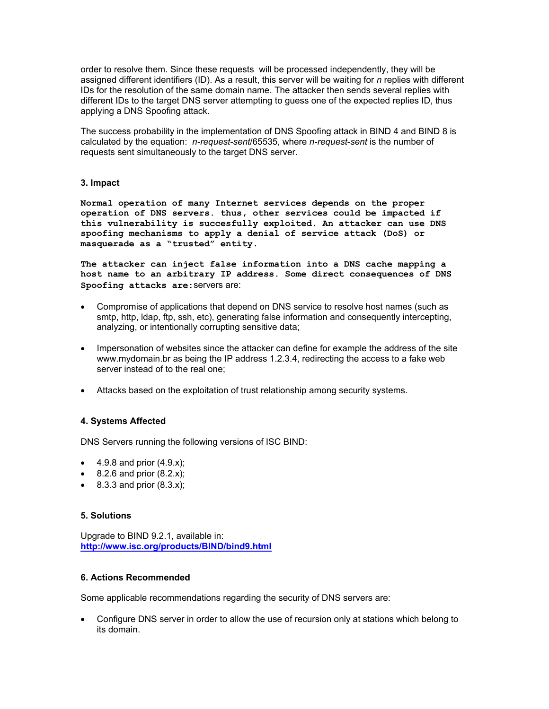order to resolve them. Since these requests will be processed independently, they will be assigned different identifiers (ID). As a result, this server will be waiting for *n* replies with different IDs for the resolution of the same domain name. The attacker then sends several replies with different IDs to the target DNS server attempting to guess one of the expected replies ID, thus applying a DNS Spoofing attack.

The success probability in the implementation of DNS Spoofing attack in BIND 4 and BIND 8 is calculated by the equation: *n-request-sent*/65535, where *n-request-sent* is the number of requests sent simultaneously to the target DNS server.

## **3. Impact**

**Normal operation of many Internet services depends on the proper operation of DNS servers. thus, other services could be impacted if this vulnerability is succesfully exploited. An attacker can use DNS spoofing mechanisms to apply a denial of service attack (DoS) or masquerade as a "trusted" entity.**

**The attacker can inject false information into a DNS cache mapping a host name to an arbitrary IP address. Some direct consequences of DNS Spoofing attacks are:**servers are:

- Compromise of applications that depend on DNS service to resolve host names (such as smtp, http, ldap, ftp, ssh, etc), generating false information and consequently intercepting, analyzing, or intentionally corrupting sensitive data;
- Impersonation of websites since the attacker can define for example the address of the site www.mydomain.br as being the IP address 1.2.3.4, redirecting the access to a fake web server instead of to the real one;
- Attacks based on the exploitation of trust relationship among security systems.

## **4. Systems Affected**

DNS Servers running the following versions of ISC BIND:

- $4.9.8$  and prior  $(4.9.x)$ ;
- 8.2.6 and prior  $(8.2.x)$ ;
- 8.3.3 and prior  $(8.3.x)$ ;

#### **5. Solutions**

Upgrade to BIND 9.2.1, available in: **<http://www.isc.org/products/BIND/bind9.html>**

#### **6. Actions Recommended**

Some applicable recommendations regarding the security of DNS servers are:

• Configure DNS server in order to allow the use of recursion only at stations which belong to its domain.